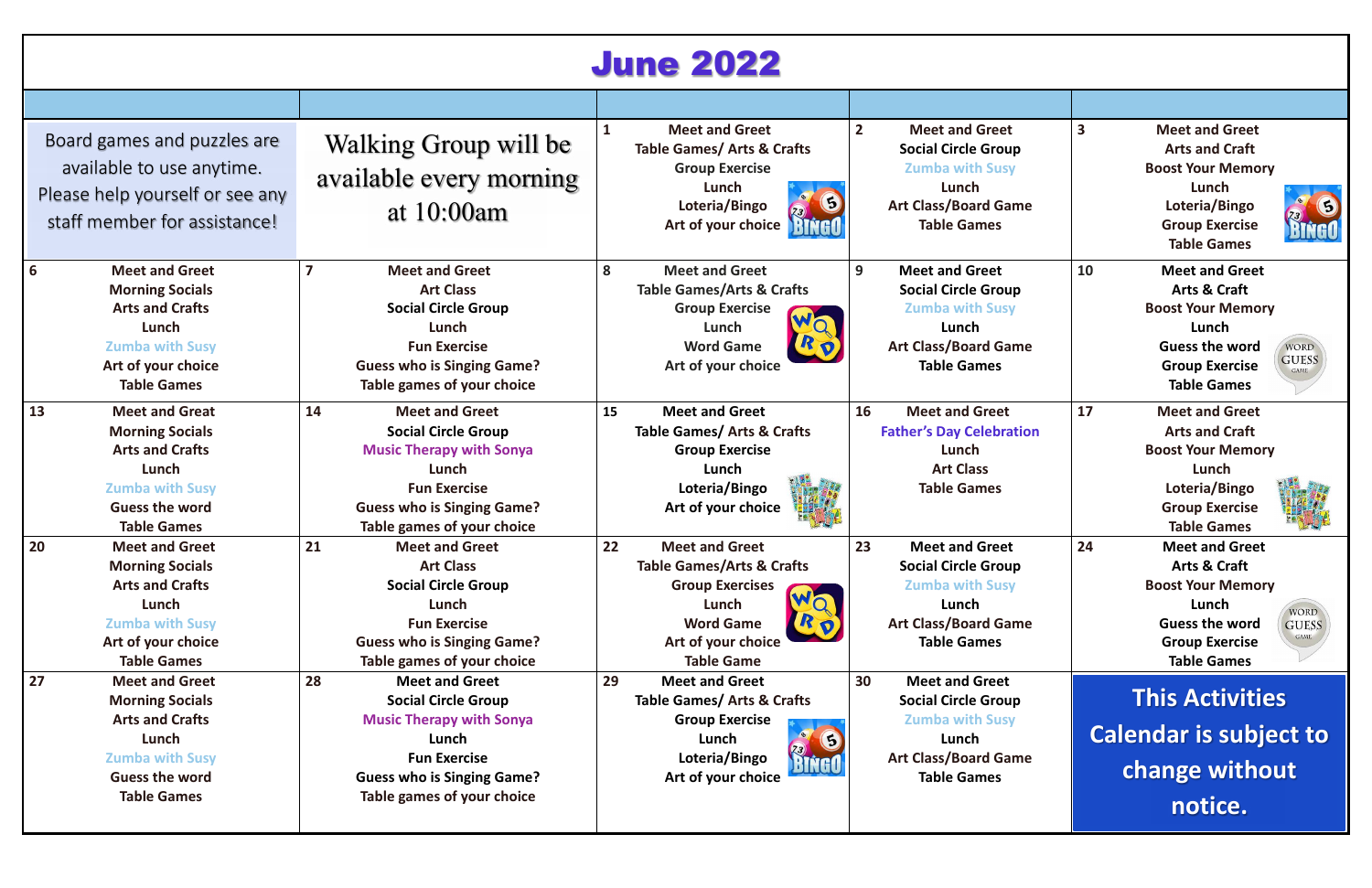# June 2022

|    | Board games and puzzles are<br>available to use anytime.<br>Please help yourself or see any<br>staff member for assistance!                                 | Walking Group will be<br>available every morning<br>at $10:00$ am                                                                                                                               |    | <b>Meet and Greet</b><br><b>Table Games/ Arts &amp; Crafts</b><br><b>Group Exercise</b><br>Lunch<br>G<br>Loteria/Bingo<br>BINGO<br>Art of your choice                 | $\overline{2}$ | <b>Meet and Greet</b><br><b>Social Circle Group</b><br><b>Zumba with Susy</b><br>Lunch<br><b>Art Class/Board Game</b><br><b>Table Games</b> | $\overline{\mathbf{3}}$ | <b>Meet and Greet</b><br><b>Arts and Craft</b><br><b>Boost Your Memory</b><br>Lunch<br>S<br>Loteria/Bingo<br>BINGO<br><b>Group Exercise</b><br><b>Table Games</b>                                    |
|----|-------------------------------------------------------------------------------------------------------------------------------------------------------------|-------------------------------------------------------------------------------------------------------------------------------------------------------------------------------------------------|----|-----------------------------------------------------------------------------------------------------------------------------------------------------------------------|----------------|---------------------------------------------------------------------------------------------------------------------------------------------|-------------------------|------------------------------------------------------------------------------------------------------------------------------------------------------------------------------------------------------|
| 6  | <b>Meet and Greet</b><br><b>Morning Socials</b><br><b>Arts and Crafts</b><br>Lunch<br><b>Zumba with Susy</b><br>Art of your choice<br><b>Table Games</b>    | <b>Meet and Greet</b><br><b>Art Class</b><br><b>Social Circle Group</b><br>Lunch<br><b>Fun Exercise</b><br><b>Guess who is Singing Game?</b><br>Table games of your choice                      | 8  | <b>Meet and Greet</b><br><b>Table Games/Arts &amp; Crafts</b><br><b>Group Exercise</b><br>Lunch<br>ROY<br><b>Word Game</b><br>Art of your choice                      | 9              | <b>Meet and Greet</b><br><b>Social Circle Group</b><br><b>Zumba with Susy</b><br>Lunch<br><b>Art Class/Board Game</b><br><b>Table Games</b> | 10                      | <b>Meet and Greet</b><br><b>Arts &amp; Craft</b><br><b>Boost Your Memory</b><br>Lunch<br><b>Guess the word</b><br>WORD<br><b>GUESS</b><br><b>Group Exercise</b><br><b>GAME</b><br><b>Table Games</b> |
| 13 | <b>Meet and Great</b><br><b>Morning Socials</b><br><b>Arts and Crafts</b><br>Lunch<br><b>Zumba with Susy</b><br><b>Guess the word</b><br><b>Table Games</b> | <b>Meet and Greet</b><br>14<br><b>Social Circle Group</b><br><b>Music Therapy with Sonya</b><br>Lunch<br><b>Fun Exercise</b><br><b>Guess who is Singing Game?</b><br>Table games of your choice | 15 | <b>Meet and Greet</b><br><b>Table Games/ Arts &amp; Crafts</b><br><b>Group Exercise</b><br>Lunch<br>Loteria/Bingo<br>Art of your choice                               | 16             | <b>Meet and Greet</b><br><b>Father's Day Celebration</b><br>Lunch<br><b>Art Class</b><br><b>Table Games</b>                                 | 17                      | <b>Meet and Greet</b><br><b>Arts and Craft</b><br><b>Boost Your Memory</b><br>Lunch<br>Loteria/Bingo<br><b>Group Exercise</b><br><b>Table Games</b>                                                  |
| 20 | <b>Meet and Greet</b><br><b>Morning Socials</b><br><b>Arts and Crafts</b><br>Lunch<br><b>Zumba with Susy</b><br>Art of your choice<br><b>Table Games</b>    | 21<br><b>Meet and Greet</b><br><b>Art Class</b><br><b>Social Circle Group</b><br>Lunch<br><b>Fun Exercise</b><br><b>Guess who is Singing Game?</b><br>Table games of your choice                | 22 | <b>Meet and Greet</b><br><b>Table Games/Arts &amp; Crafts</b><br><b>Group Exercises</b><br>Lunch<br>RD<br><b>Word Game</b><br>Art of your choice<br><b>Table Game</b> | 23             | <b>Meet and Greet</b><br><b>Social Circle Group</b><br><b>Zumba with Susy</b><br>Lunch<br><b>Art Class/Board Game</b><br><b>Table Games</b> | 24                      | <b>Meet and Greet</b><br><b>Arts &amp; Craft</b><br><b>Boost Your Memory</b><br>Lunch<br>WORD<br><b>Guess the word</b><br><b>GUESS</b><br><b>Group Exercise</b><br><b>Table Games</b>                |
| 27 | <b>Meet and Greet</b><br><b>Morning Socials</b><br><b>Arts and Crafts</b><br>Lunch<br><b>Zumba with Susy</b><br><b>Guess the word</b><br><b>Table Games</b> | 28<br><b>Meet and Greet</b><br><b>Social Circle Group</b><br><b>Music Therapy with Sonya</b><br>Lunch<br><b>Fun Exercise</b><br><b>Guess who is Singing Game?</b><br>Table games of your choice | 29 | <b>Meet and Greet</b><br><b>Table Games/ Arts &amp; Crafts</b><br><b>Group Exercise</b><br>Lunch<br>Loteria/Bingo<br>BINGO<br>Art of your choice                      | 30             | <b>Meet and Greet</b><br><b>Social Circle Group</b><br><b>Zumba with Susy</b><br>Lunch<br><b>Art Class/Board Game</b><br><b>Table Games</b> |                         | <b>This Activities</b><br><b>Calendar is subject to</b><br>change without<br>notice.                                                                                                                 |